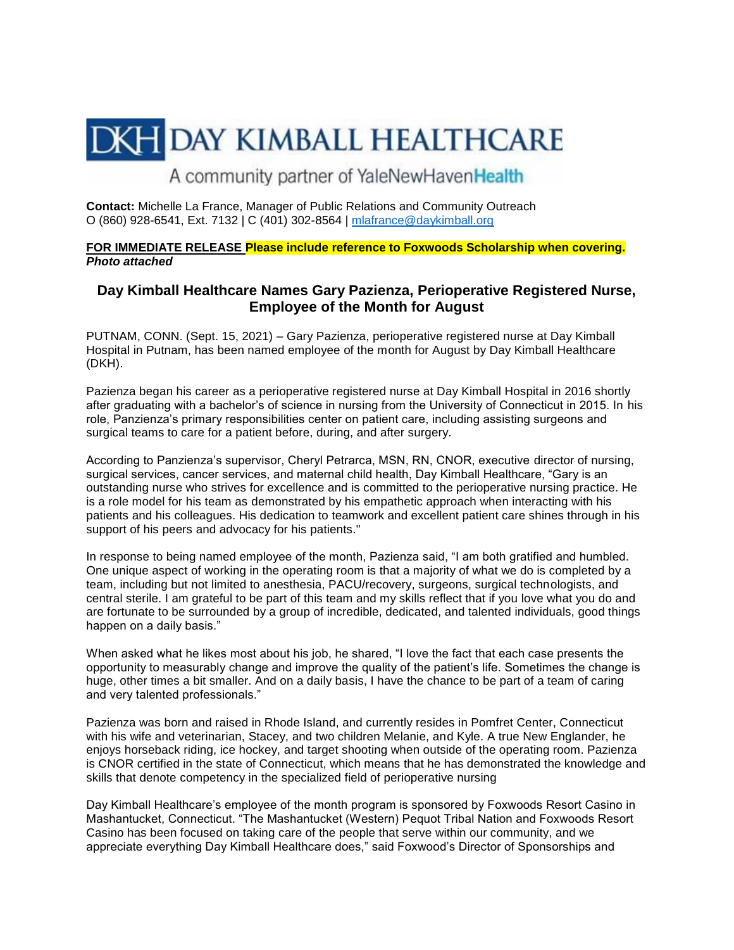## **DKH DAY KIMBALL HEALTHCARE**

A community partner of YaleNewHavenHealth

**Contact:** Michelle La France, Manager of Public Relations and Community Outreach O (860) 928-6541, Ext. 7132 | C (401) 302-8564 | [mlafrance@daykimball.org](mailto:mlafrance@daykimball.org)

**FOR IMMEDIATE RELEASE Please include reference to Foxwoods Scholarship when covering.** *Photo attached*

## **Day Kimball Healthcare Names Gary Pazienza, Perioperative Registered Nurse, Employee of the Month for August**

PUTNAM, CONN. (Sept. 15, 2021) – Gary Pazienza, perioperative registered nurse at Day Kimball Hospital in Putnam, has been named employee of the month for August by Day Kimball Healthcare (DKH).

Pazienza began his career as a perioperative registered nurse at Day Kimball Hospital in 2016 shortly after graduating with a bachelor's of science in nursing from the University of Connecticut in 2015. In his role, Panzienza's primary responsibilities center on patient care, including assisting surgeons and surgical teams to care for a patient before, during, and after surgery.

According to Panzienza's supervisor, Cheryl Petrarca, MSN, RN, CNOR, executive director of nursing, surgical services, cancer services, and maternal child health, Day Kimball Healthcare, "Gary is an outstanding nurse who strives for excellence and is committed to the perioperative nursing practice. He is a role model for his team as demonstrated by his empathetic approach when interacting with his patients and his colleagues. His dedication to teamwork and excellent patient care shines through in his support of his peers and advocacy for his patients."

In response to being named employee of the month, Pazienza said, "I am both gratified and humbled. One unique aspect of working in the operating room is that a majority of what we do is completed by a team, including but not limited to anesthesia, PACU/recovery, surgeons, surgical technologists, and central sterile. I am grateful to be part of this team and my skills reflect that if you love what you do and are fortunate to be surrounded by a group of incredible, dedicated, and talented individuals, good things happen on a daily basis."

When asked what he likes most about his job, he shared, "I love the fact that each case presents the opportunity to measurably change and improve the quality of the patient's life. Sometimes the change is huge, other times a bit smaller. And on a daily basis, I have the chance to be part of a team of caring and very talented professionals."

Pazienza was born and raised in Rhode Island, and currently resides in Pomfret Center, Connecticut with his wife and veterinarian, Stacey, and two children Melanie, and Kyle. A true New Englander, he enjoys horseback riding, ice hockey, and target shooting when outside of the operating room. Pazienza is CNOR certified in the state of Connecticut, which means that he has demonstrated the knowledge and skills that denote competency in the specialized field of perioperative nursing

Day Kimball Healthcare's employee of the month program is sponsored by Foxwoods Resort Casino in Mashantucket, Connecticut. "The Mashantucket (Western) Pequot Tribal Nation and Foxwoods Resort Casino has been focused on taking care of the people that serve within our community, and we appreciate everything Day Kimball Healthcare does," said Foxwood's Director of Sponsorships and